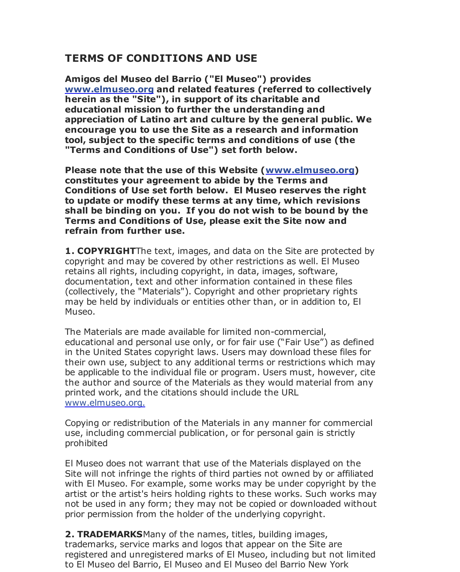## **TERMS OF CONDITIONS AND USE**

**Amigos del Museo del Barrio ("El Museo") provides www.elmuseo.org and related features (referred to collectively herein as the "Site"), in support of its charitable and educational mission to further the understanding and appreciation of Latino art and culture by the general public. We encourage you to use the Site as a research and information tool, subject to the specific terms and conditions of use (the "Terms and Conditions of Use") set forth below.**

**Please note that the use of this Website (www.elmuseo.org) constitutes your agreement to abide by the Terms and Conditions of Use set forth below. El Museo reserves the right to update or modify these terms at any time, which revisions shall be binding on you. If you do not wish to be bound by the Terms and Conditions of Use, please exit the Site now and refrain from further use.**

**1. COPYRIGHT**The text, images, and data on the Site are protected by copyright and may be covered by other restrictions as well. El Museo retains all rights, including copyright, in data, images, software, documentation, text and other information contained in these files (collectively, the "Materials"). Copyright and other proprietary rights may be held by individuals or entities other than, or in addition to, El Museo.

The Materials are made available for limited non-commercial, educational and personal use only, or for fair use ("Fair Use") as defined in the United States copyright laws. Users may download these files for their own use, subject to any additional terms or restrictions which may be applicable to the individual file or program. Users must, however, cite the author and source of the Materials as they would material from any printed work, and the citations should include the URL www.elmuseo.org.

Copying or redistribution of the Materials in any manner for commercial use, including commercial publication, or for personal gain is strictly prohibited

El Museo does not warrant that use of the Materials displayed on the Site will not infringe the rights of third parties not owned by or affiliated with El Museo. For example, some works may be under copyright by the artist or the artist's heirs holding rights to these works. Such works may not be used in any form; they may not be copied or downloaded without prior permission from the holder of the underlying copyright.

**2. TRADEMARKS**Many of the names, titles, building images, trademarks, service marks and logos that appear on the Site are registered and unregistered marks of El Museo, including but not limited to El Museo del Barrio, El Museo and El Museo del Barrio New York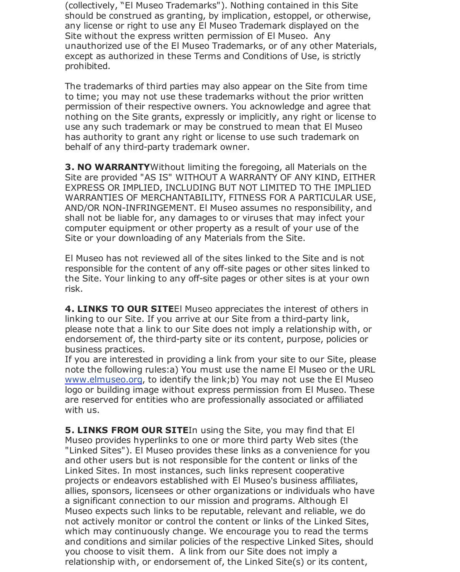(collectively, "El Museo Trademarks"). Nothing contained in this Site should be construed as granting, by implication, estoppel, or otherwise, any license or right to use any El Museo Trademark displayed on the Site without the express written permission of El Museo. Any unauthorized use of the El Museo Trademarks, or of any other Materials, except as authorized in these Terms and Conditions of Use, is strictly prohibited.

The trademarks of third parties may also appear on the Site from time to time; you may not use these trademarks without the prior written permission of their respective owners. You acknowledge and agree that nothing on the Site grants, expressly or implicitly, any right or license to use any such trademark or may be construed to mean that El Museo has authority to grant any right or license to use such trademark on behalf of any third-party trademark owner.

**3. NO WARRANTY**Without limiting the foregoing, all Materials on the Site are provided "AS IS" WITHOUT A WARRANTY OF ANY KIND, EITHER EXPRESS OR IMPLIED, INCLUDING BUT NOT LIMITED TO THE IMPLIED WARRANTIES OF MERCHANTABILITY, FITNESS FOR A PARTICULAR USE, AND/OR NON-INFRINGEMENT. El Museo assumes no responsibility, and shall not be liable for, any damages to or viruses that may infect your computer equipment or other property as a result of your use of the Site or your downloading of any Materials from the Site.

El Museo has not reviewed all of the sites linked to the Site and is not responsible for the content of any off-site pages or other sites linked to the Site. Your linking to any off-site pages or other sites is at your own risk.

**4. LINKS TO OUR SITE**El Museo appreciates the interest of others in linking to our Site. If you arrive at our Site from a third-party link, please note that a link to our Site does not imply a relationship with, or endorsement of, the third-party site or its content, purpose, policies or business practices.

If you are interested in providing a link from your site to our Site, please note the following rules:a) You must use the name El Museo or the URL www.elmuseo.org, to identify the link;b) You may not use the El Museo logo or building image without express permission from El Museo. These are reserved for entities who are professionally associated or affiliated with us.

**5. LINKS FROM OUR SITE**In using the Site, you may find that El Museo provides hyperlinks to one or more third party Web sites (the "Linked Sites"). El Museo provides these links as a convenience for you and other users but is not responsible for the content or links of the Linked Sites. In most instances, such links represent cooperative projects or endeavors established with El Museo's business affiliates, allies, sponsors, licensees or other organizations or individuals who have a significant connection to our mission and programs. Although El Museo expects such links to be reputable, relevant and reliable, we do not actively monitor or control the content or links of the Linked Sites, which may continuously change. We encourage you to read the terms and conditions and similar policies of the respective Linked Sites, should you choose to visit them. A link from our Site does not imply a relationship with, or endorsement of, the Linked Site(s) or its content,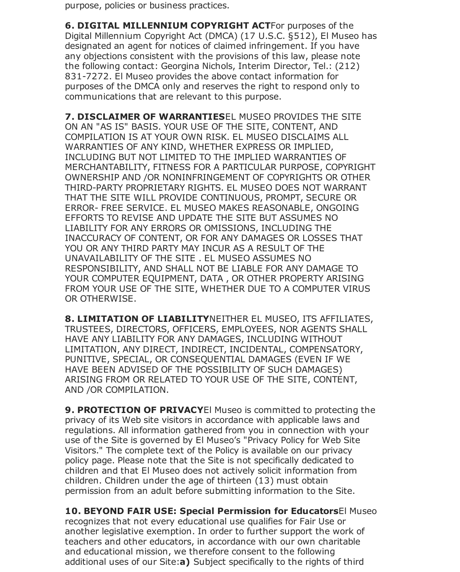purpose, policies or business practices.

**6. DIGITAL MILLENNIUM COPYRIGHT ACT**For purposes of the Digital Millennium Copyright Act (DMCA) (17 U.S.C. §512), El Museo has designated an agent for notices of claimed infringement. If you have any objections consistent with the provisions of this law, please note the following contact: Georgina Nichols, Interim Director, Tel.: (212) 831-7272. El Museo provides the above contact information for purposes of the DMCA only and reserves the right to respond only to communications that are relevant to this purpose.

**7. DISCLAIMER OF WARRANTIES**EL MUSEO PROVIDES THE SITE ON AN "AS IS" BASIS. YOUR USE OF THE SITE, CONTENT, AND COMPILATION IS AT YOUR OWN RISK. EL MUSEO DISCLAIMS ALL WARRANTIES OF ANY KIND, WHETHER EXPRESS OR IMPLIED, INCLUDING BUT NOT LIMITED TO THE IMPLIED WARRANTIES OF MERCHANTABILITY, FITNESS FOR A PARTICULAR PURPOSE, COPYRIGHT OWNERSHIP AND /OR NONINFRINGEMENT OF COPYRIGHTS OR OTHER THIRD-PARTY PROPRIETARY RIGHTS. EL MUSEO DOES NOT WARRANT THAT THE SITE WILL PROVIDE CONTINUOUS, PROMPT, SECURE OR ERROR- FREE SERVICE. EL MUSEO MAKES REASONABLE, ONGOING EFFORTS TO REVISE AND UPDATE THE SITE BUT ASSUMES NO LIABILITY FOR ANY ERRORS OR OMISSIONS, INCLUDING THE INACCURACY OF CONTENT, OR FOR ANY DAMAGES OR LOSSES THAT YOU OR ANY THIRD PARTY MAY INCUR AS A RESULT OF THE UNAVAILABILITY OF THE SITE . EL MUSEO ASSUMES NO RESPONSIBILITY, AND SHALL NOT BE LIABLE FOR ANY DAMAGE TO YOUR COMPUTER EQUIPMENT, DATA , OR OTHER PROPERTY ARISING FROM YOUR USE OF THE SITE, WHETHER DUE TO A COMPUTER VIRUS OR OTHERWISE.

**8. LIMITATION OF LIABILITY**NEITHER EL MUSEO, ITS AFFILIATES, TRUSTEES, DIRECTORS, OFFICERS, EMPLOYEES, NOR AGENTS SHALL HAVE ANY LIABILITY FOR ANY DAMAGES, INCLUDING WITHOUT LIMITATION, ANY DIRECT, INDIRECT, INCIDENTAL, COMPENSATORY, PUNITIVE, SPECIAL, OR CONSEQUENTIAL DAMAGES (EVEN IF WE HAVE BEEN ADVISED OF THE POSSIBILITY OF SUCH DAMAGES) ARISING FROM OR RELATED TO YOUR USE OF THE SITE, CONTENT, AND /OR COMPILATION.

**9. PROTECTION OF PRIVACY**El Museo is committed to protecting the privacy of its Web site visitors in accordance with applicable laws and regulations. All information gathered from you in connection with your use of the Site is governed by El Museo's "Privacy Policy for Web Site Visitors." The complete text of the Policy is available on our privacy policy page. Please note that the Site is not specifically dedicated to children and that El Museo does not actively solicit information from children. Children under the age of thirteen (13) must obtain permission from an adult before submitting information to the Site.

**10. BEYOND FAIR USE: Special Permission for Educators**El Museo recognizes that not every educational use qualifies for Fair Use or another legislative exemption. In order to further support the work of teachers and other educators, in accordance with our own charitable and educational mission, we therefore consent to the following additional uses of our Site:**a)** Subject specifically to the rights of third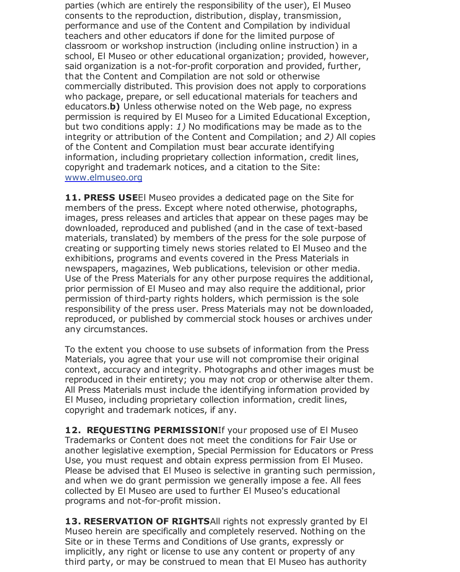parties (which are entirely the responsibility of the user), El Museo consents to the reproduction, distribution, display, transmission, performance and use of the Content and Compilation by individual teachers and other educators if done for the limited purpose of classroom or workshop instruction (including online instruction) in a school, El Museo or other educational organization; provided, however, said organization is a not-for-profit corporation and provided, further, that the Content and Compilation are not sold or otherwise commercially distributed. This provision does not apply to corporations who package, prepare, or sell educational materials for teachers and educators.**b)** Unless otherwise noted on the Web page, no express permission is required by El Museo for a Limited Educational Exception, but two conditions apply: *1)* No modifications may be made as to the integrity or attribution of the Content and Compilation; and *2)* All copies of the Content and Compilation must bear accurate identifying information, including proprietary collection information, credit lines, copyright and trademark notices, and a citation to the Site: www.elmuseo.org

**11. PRESS USE**El Museo provides a dedicated page on the Site for members of the press. Except where noted otherwise, photographs, images, press releases and articles that appear on these pages may be downloaded, reproduced and published (and in the case of text-based materials, translated) by members of the press for the sole purpose of creating or supporting timely news stories related to El Museo and the exhibitions, programs and events covered in the Press Materials in newspapers, magazines, Web publications, television or other media. Use of the Press Materials for any other purpose requires the additional, prior permission of El Museo and may also require the additional, prior permission of third-party rights holders, which permission is the sole responsibility of the press user. Press Materials may not be downloaded, reproduced, or published by commercial stock houses or archives under any circumstances.

To the extent you choose to use subsets of information from the Press Materials, you agree that your use will not compromise their original context, accuracy and integrity. Photographs and other images must be reproduced in their entirety; you may not crop or otherwise alter them. All Press Materials must include the identifying information provided by El Museo, including proprietary collection information, credit lines, copyright and trademark notices, if any.

12. REQUESTING PERMISSIONIf your proposed use of El Museo Trademarks or Content does not meet the conditions for Fair Use or another legislative exemption, Special Permission for Educators or Press Use, you must request and obtain express permission from El Museo. Please be advised that El Museo is selective in granting such permission, and when we do grant permission we generally impose a fee. All fees collected by El Museo are used to further El Museo's educational programs and not-for-profit mission.

**13. RESERVATION OF RIGHTS**All rights not expressly granted by El Museo herein are specifically and completely reserved. Nothing on the Site or in these Terms and Conditions of Use grants, expressly or implicitly, any right or license to use any content or property of any third party, or may be construed to mean that El Museo has authority